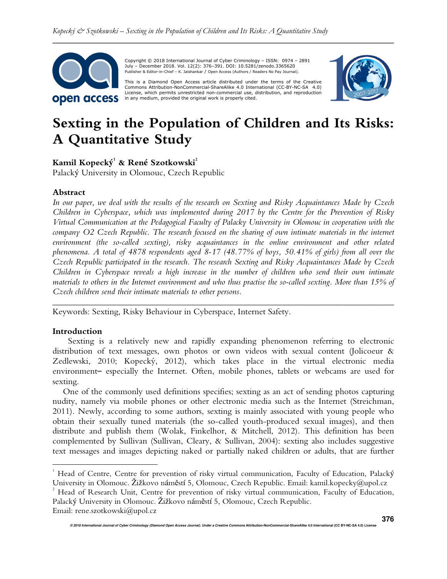

Copyright © 2018 International Journal of Cyber Criminology – ISSN: 0974 – 2891 July – December 2018. Vol. 12(2): 376–391. DOI: 10.5281/zenodo.3365620 Publisher & Editor-in-Chief – K. Jaishankar / Open Access (Authors / Readers No Pay Journal).

This is a Diamond Open Access article distributed under the terms of the Creative<br>Commons Attribution-NonCommercial-ShareAlike 4.0 International (CC-BY-NC-SA 4.0) License, which permits unrestricted non-commercial use, distribution, and reproduction in any medium, provided the original work is properly cited.



# **Sexting in the Population of Children and Its Risks: A Quantitative Study**

**Kamil Kopecký 1 & René Szotkowski<sup>2</sup>**

Palacký University in Olomouc, Czech Republic

## **Abstract**

*In our paper, we deal with the results of the research on Sexting and Risky Acquaintances Made by Czech Children in Cyberspace, which was implemented during 2017 by the Centre for the Prevention of Risky Virtual Communication at the Pedagogical Faculty of Palacky University in Olomouc in cooperation with the company O2 Czech Republic. The research focused on the sharing of own intimate materials in the internet environment (the so-called sexting), risky acquaintances in the online environment and other related phenomena. A total of 4878 respondents aged 8-17 (48.77% of boys, 50.41% of girls) from all over the Czech Republic participated in the research. The research Sexting and Risky Acquaintances Made by Czech Children in Cyberspace reveals a high increase in the number of children who send their own intimate materials to others in the Internet environment and who thus practise the so-called sexting. More than 15% of Czech children send their intimate materials to other persons.* 

*\_\_\_\_\_\_\_\_\_\_\_\_\_\_\_\_\_\_\_\_\_\_\_\_\_\_\_\_\_\_\_\_\_\_\_\_\_\_\_\_\_\_\_\_\_\_\_\_\_\_\_\_\_\_\_\_\_\_\_\_\_\_\_\_\_\_\_\_\_\_\_\_\_\_\_\_\_\_* 

Keywords: Sexting, Risky Behaviour in Cyberspace, Internet Safety.

## **Introduction**

1

Sexting is a relatively new and rapidly expanding phenomenon referring to electronic distribution of text messages, own photos or own videos with sexual content (Jolicoeur & Zedlewski, 2010; Kopecký, 2012), which takes place in the virtual electronic media environment– especially the Internet. Often, mobile phones, tablets or webcams are used for sexting.

One of the commonly used definitions specifies; sexting as an act of sending photos capturing nudity, namely via mobile phones or other electronic media such as the Internet (Streichman, 2011). Newly, according to some authors, sexting is mainly associated with young people who obtain their sexually tuned materials (the so-called youth-produced sexual images), and then distribute and publish them (Wolak, Finkelhor, & Mitchell, 2012). This definition has been complemented by Sullivan (Sullivan, Cleary, & Sullivan, 2004): sexting also includes suggestive text messages and images depicting naked or partially naked children or adults, that are further

Email: rene.szotkowski@upol.cz

<sup>&</sup>lt;sup>1</sup> Head of Centre, Centre for prevention of risky virtual communication, Faculty of Education, Palacký University in Olomouc. Žižkovo náměstí 5, Olomouc, Czech Republic. Email: kamil.kopecky@upol.cz

<sup>&</sup>lt;sup>2</sup> Head of Research Unit, Centre for prevention of risky virtual communication, Faculty of Education, Palacký University in Olomouc. Žižkovo náměstí 5, Olomouc, Czech Republic.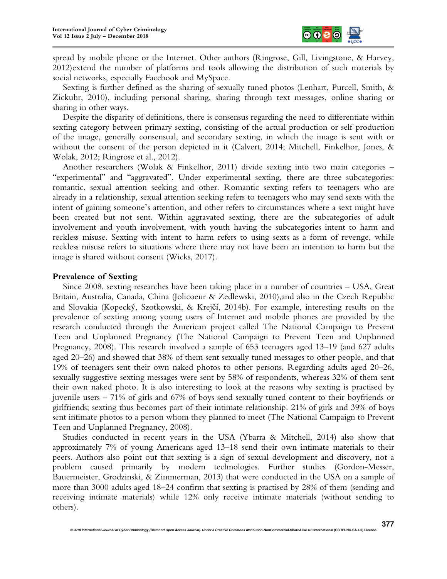

spread by mobile phone or the Internet. Other authors (Ringrose, Gill, Livingstone, & Harvey, 2012)extend the number of platforms and tools allowing the distribution of such materials by social networks, especially Facebook and MySpace.

Sexting is further defined as the sharing of sexually tuned photos (Lenhart, Purcell, Smith, & Zickuhr, 2010), including personal sharing, sharing through text messages, online sharing or sharing in other ways.

Despite the disparity of definitions, there is consensus regarding the need to differentiate within sexting category between primary sexting, consisting of the actual production or self-production of the image, generally consensual, and secondary sexting, in which the image is sent with or without the consent of the person depicted in it (Calvert, 2014; Mitchell, Finkelhor, Jones, & Wolak, 2012; Ringrose et al., 2012).

Another researchers (Wolak & Finkelhor, 2011) divide sexting into two main categories – "experimental" and "aggravated". Under experimental sexting, there are three subcategories: romantic, sexual attention seeking and other. Romantic sexting refers to teenagers who are already in a relationship, sexual attention seeking refers to teenagers who may send sexts with the intent of gaining someone's attention, and other refers to circumstances where a sext might have been created but not sent. Within aggravated sexting, there are the subcategories of adult involvement and youth involvement, with youth having the subcategories intent to harm and reckless misuse. Sexting with intent to harm refers to using sexts as a form of revenge, while reckless misuse refers to situations where there may not have been an intention to harm but the image is shared without consent (Wicks, 2017).

## **Prevalence of Sexting**

Since 2008, sexting researches have been taking place in a number of countries – USA, Great Britain, Australia, Canada, China (Jolicoeur & Zedlewski, 2010),and also in the Czech Republic and Slovakia (Kopecký, Szotkowski, & Krejčí, 2014b). For example, interesting results on the prevalence of sexting among young users of Internet and mobile phones are provided by the research conducted through the American project called The National Campaign to Prevent Teen and Unplanned Pregnancy (The National Campaign to Prevent Teen and Unplanned Pregnancy, 2008). This research involved a sample of 653 teenagers aged 13–19 (and 627 adults aged 20–26) and showed that 38% of them sent sexually tuned messages to other people, and that 19% of teenagers sent their own naked photos to other persons. Regarding adults aged 20–26, sexually suggestive sexting messages were sent by 58% of respondents, whereas 32% of them sent their own naked photo. It is also interesting to look at the reasons why sexting is practised by juvenile users – 71% of girls and 67% of boys send sexually tuned content to their boyfriends or girlfriends; sexting thus becomes part of their intimate relationship. 21% of girls and 39% of boys sent intimate photos to a person whom they planned to meet (The National Campaign to Prevent Teen and Unplanned Pregnancy, 2008).

Studies conducted in recent years in the USA (Ybarra & Mitchell, 2014) also show that approximately 7% of young Americans aged 13–18 send their own intimate materials to their peers. Authors also point out that sexting is a sign of sexual development and discovery, not a problem caused primarily by modern technologies. Further studies (Gordon-Messer, Bauermeister, Grodzinski, & Zimmerman, 2013) that were conducted in the USA on a sample of more than 3000 adults aged 18–24 confirm that sexting is practised by 28% of them (sending and receiving intimate materials) while 12% only receive intimate materials (without sending to others).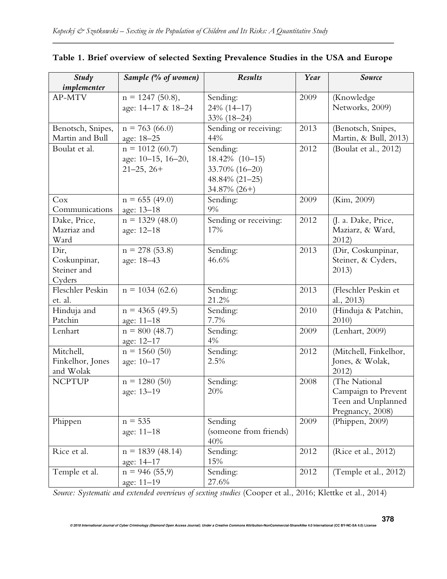| Study<br>implementer                          | Sample (% of women)                                       | Results                                                                           | Year | Source                                                                         |
|-----------------------------------------------|-----------------------------------------------------------|-----------------------------------------------------------------------------------|------|--------------------------------------------------------------------------------|
| AP-MTV                                        | $n = 1247$ (50.8),<br>age: 14-17 & 18-24                  | Sending:<br>24% (14-17)<br>33% (18-24)                                            | 2009 | (Knowledge<br>Networks, 2009)                                                  |
| Benotsch, Snipes,<br>Martin and Bull          | $n = 763(66.0)$<br>age: 18-25                             | Sending or receiving:<br>44%                                                      | 2013 | (Benotsch, Snipes,<br>Martin, & Bull, 2013)                                    |
| Boulat et al.                                 | $n = 1012(60.7)$<br>age: 10-15, 16-20,<br>$21 - 25, 26 +$ | Sending:<br>18.42% (10-15)<br>33.70% (16-20)<br>48.84% (21-25)<br>$34.87\%$ (26+) | 2012 | (Boulat et al., 2012)                                                          |
| Cox<br>Communications                         | $n = 655(49.0)$<br>age: 13-18                             | Sending:<br>9%                                                                    | 2009 | (Kim, 2009)                                                                    |
| Dake, Price,<br>Mazriaz and<br>Ward           | $n = 1329(48.0)$<br>age: 12-18                            | Sending or receiving:<br>17%                                                      | 2012 | (J. a. Dake, Price,<br>Maziarz, & Ward,<br>2012                                |
| Dir,<br>Coskunpinar,<br>Steiner and<br>Cyders | $n = 278(53.8)$<br>age: 18-43                             | Sending:<br>46.6%                                                                 | 2013 | (Dir, Coskunpinar,<br>Steiner, & Cyders,<br>2013)                              |
| Fleschler Peskin<br>et. al.                   | $n = 1034(62.6)$                                          | Sending:<br>21.2%                                                                 | 2013 | (Fleschler Peskin et<br>al., 2013)                                             |
| Hinduja and<br>Patchin                        | $n = 4365(49.5)$<br>age: 11-18                            | Sending:<br>7.7%                                                                  | 2010 | (Hinduja & Patchin,<br>2010)                                                   |
| Lenhart                                       | $n = 800(48.7)$<br>age: 12-17                             | Sending:<br>4%                                                                    | 2009 | (Lenhart, 2009)                                                                |
| Mitchell,<br>Finkelhor, Jones<br>and Wolak    | $n = 1560(50)$<br>age: 10-17                              | Sending:<br>2.5%                                                                  | 2012 | (Mitchell, Finkelhor,<br>Jones, & Wolak,<br>2012                               |
| <b>NCPTUP</b>                                 | $n = 1280(50)$<br>age: 13-19                              | Sending:<br>20%                                                                   | 2008 | (The National<br>Campaign to Prevent<br>Teen and Unplanned<br>Pregnancy, 2008) |
| Phippen                                       | $n = 535$<br>age: 11-18                                   | Sending<br>(someone from friends)<br>40%                                          | 2009 | (Phippen, 2009)                                                                |
| Rice et al.                                   | $n = 1839(48.14)$<br>age: 14-17                           | Sending:<br>15%                                                                   | 2012 | (Rice et al., 2012)                                                            |
| Temple et al.                                 | $n = 946(55,9)$<br>age: 11-19                             | Sending:<br>27.6%                                                                 | 2012 | (Temple et al., 2012)                                                          |

# **Table 1. Brief overview of selected Sexting Prevalence Studies in the USA and Europe**

*Source: Systematic and extended overviews of sexting studies* (Cooper et al., 2016; Klettke et al., 2014)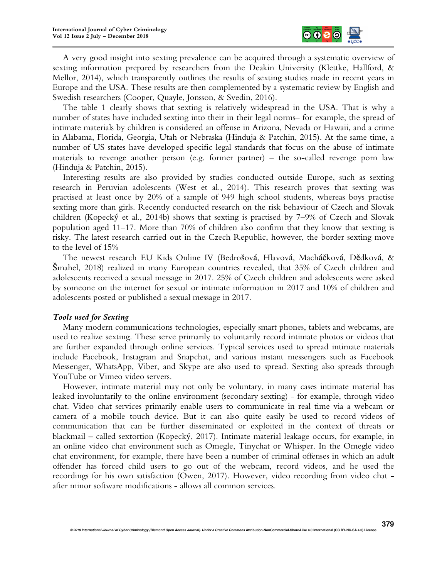

A very good insight into sexting prevalence can be acquired through a systematic overview of sexting information prepared by researchers from the Deakin University (Klettke, Hallford, & Mellor, 2014), which transparently outlines the results of sexting studies made in recent years in Europe and the USA. These results are then complemented by a systematic review by English and Swedish researchers (Cooper, Quayle, Jonsson, & Svedin, 2016).

The table 1 clearly shows that sexting is relatively widespread in the USA. That is why a number of states have included sexting into their in their legal norms– for example, the spread of intimate materials by children is considered an offense in Arizona, Nevada or Hawaii, and a crime in Alabama, Florida, Georgia, Utah or Nebraska (Hinduja & Patchin, 2015). At the same time, a number of US states have developed specific legal standards that focus on the abuse of intimate materials to revenge another person (e.g. former partner) – the so-called revenge porn law (Hinduja & Patchin, 2015).

Interesting results are also provided by studies conducted outside Europe, such as sexting research in Peruvian adolescents (West et al., 2014). This research proves that sexting was practised at least once by 20% of a sample of 949 high school students, whereas boys practise sexting more than girls. Recently conducted research on the risk behaviour of Czech and Slovak children (Kopecký et al., 2014b) shows that sexting is practised by 7–9% of Czech and Slovak population aged 11–17. More than 70% of children also confirm that they know that sexting is risky. The latest research carried out in the Czech Republic, however, the border sexting move to the level of 15%

The newest research EU Kids Online IV (Bedrošová, Hlavová, Macháčková, Dědková, & Šmahel, 2018) realized in many European countries revealed, that 35% of Czech children and adolescents received a sexual message in 2017. 25% of Czech children and adolescents were asked by someone on the internet for sexual or intimate information in 2017 and 10% of children and adolescents posted or published a sexual message in 2017.

#### *Tools used for Sexting*

Many modern communications technologies, especially smart phones, tablets and webcams, are used to realize sexting. These serve primarily to voluntarily record intimate photos or videos that are further expanded through online services. Typical services used to spread intimate materials include Facebook, Instagram and Snapchat, and various instant messengers such as Facebook Messenger, WhatsApp, Viber, and Skype are also used to spread. Sexting also spreads through YouTube or Vimeo video servers.

However, intimate material may not only be voluntary, in many cases intimate material has leaked involuntarily to the online environment (secondary sexting) - for example, through video chat. Video chat services primarily enable users to communicate in real time via a webcam or camera of a mobile touch device. But it can also quite easily be used to record videos of communication that can be further disseminated or exploited in the context of threats or blackmail – called sextortion (Kopecký, 2017). Intimate material leakage occurs, for example, in an online video chat environment such as Omegle, Tinychat or Whisper. In the Omegle video chat environment, for example, there have been a number of criminal offenses in which an adult offender has forced child users to go out of the webcam, record videos, and he used the recordings for his own satisfaction (Owen, 2017). However, video recording from video chat after minor software modifications - allows all common services.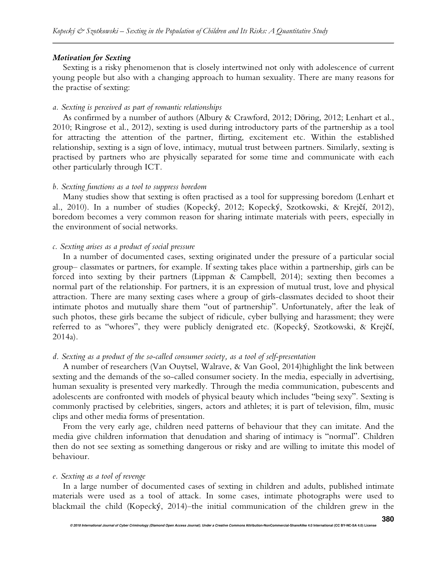#### *Motivation for Sexting*

Sexting is a risky phenomenon that is closely intertwined not only with adolescence of current young people but also with a changing approach to human sexuality. There are many reasons for the practise of sexting:

#### *a. Sexting is perceived as part of romantic relationships*

As confirmed by a number of authors (Albury & Crawford, 2012; Döring, 2012; Lenhart et al., 2010; Ringrose et al., 2012), sexting is used during introductory parts of the partnership as a tool for attracting the attention of the partner, flirting, excitement etc. Within the established relationship, sexting is a sign of love, intimacy, mutual trust between partners. Similarly, sexting is practised by partners who are physically separated for some time and communicate with each other particularly through ICT.

#### *b. Sexting functions as a tool to suppress boredom*

Many studies show that sexting is often practised as a tool for suppressing boredom (Lenhart et al., 2010). In a number of studies (Kopecký, 2012; Kopecký, Szotkowski, & Krejčí, 2012), boredom becomes a very common reason for sharing intimate materials with peers, especially in the environment of social networks.

#### *c. Sexting arises as a product of social pressure*

In a number of documented cases, sexting originated under the pressure of a particular social group– classmates or partners, for example. If sexting takes place within a partnership, girls can be forced into sexting by their partners (Lippman & Campbell, 2014); sexting then becomes a normal part of the relationship. For partners, it is an expression of mutual trust, love and physical attraction. There are many sexting cases where a group of girls-classmates decided to shoot their intimate photos and mutually share them "out of partnership". Unfortunately, after the leak of such photos, these girls became the subject of ridicule, cyber bullying and harassment; they were referred to as "whores", they were publicly denigrated etc. (Kopecký, Szotkowski, & Krejčí, 2014a).

#### *d. Sexting as a product of the so-called consumer society, as a tool of self-presentation*

A number of researchers (Van Ouytsel, Walrave, & Van Gool, 2014)highlight the link between sexting and the demands of the so-called consumer society. In the media, especially in advertising, human sexuality is presented very markedly. Through the media communication, pubescents and adolescents are confronted with models of physical beauty which includes "being sexy". Sexting is commonly practised by celebrities, singers, actors and athletes; it is part of television, film, music clips and other media forms of presentation.

From the very early age, children need patterns of behaviour that they can imitate. And the media give children information that denudation and sharing of intimacy is "normal". Children then do not see sexting as something dangerous or risky and are willing to imitate this model of behaviour.

#### *e. Sexting as a tool of revenge*

In a large number of documented cases of sexting in children and adults, published intimate materials were used as a tool of attack. In some cases, intimate photographs were used to blackmail the child (Kopecký, 2014)–the initial communication of the children grew in the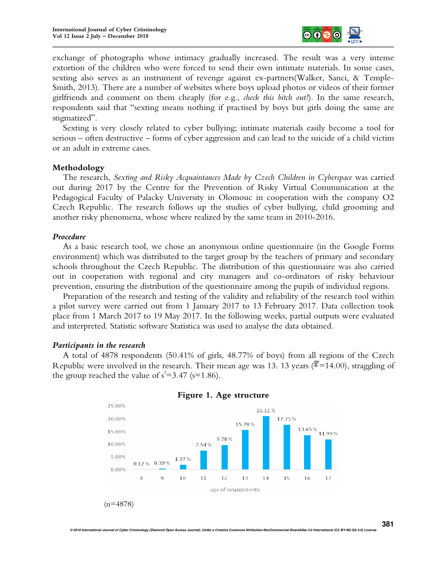

exchange of photographs whose intimacy gradually increased. The result was a very intense extortion of the children who were forced to send their own intimate materials. In some cases, sexting also serves as an instrument of revenge against ex-partners(Walker, Sanci, & Temple-Smith, 2013). There are a number of websites where boys upload photos or videos of their former girlfriends and comment on them cheaply (for e.g., *check this bitch out!*). In the same research, respondents said that "sexting means nothing if practised by boys but girls doing the same are stigmatized".

Sexting is very closely related to cyber bullying; intimate materials easily become a tool for serious – often destructive – forms of cyber aggression and can lead to the suicide of a child victim or an adult in extreme cases.

## **Methodology**

The research, *Sexting and Risky Acquaintances Made by Czech Children in Cyberspace* was carried out during 2017 by the Centre for the Prevention of Risky Virtual Communication at the Pedagogical Faculty of Palacky University in Olomouc in cooperation with the company O2 Czech Republic. The research follows up the studies of cyber bullying, child grooming and another risky phenomena, whose where realized by the same team in 2010-2016.

## *Procedure*

As a basic research tool, we chose an anonymous online questionnaire (in the Google Forms environment) which was distributed to the target group by the teachers of primary and secondary schools throughout the Czech Republic. The distribution of this questionnaire was also carried out in cooperation with regional and city managers and co-ordinators of risky behaviour prevention, ensuring the distribution of the questionnaire among the pupils of individual regions.

Preparation of the research and testing of the validity and reliability of the research tool within a pilot survey were carried out from 1 January 2017 to 13 February 2017. Data collection took place from 1 March 2017 to 19 May 2017. In the following weeks, partial outputs were evaluated and interpreted. Statistic software Statistica was used to analyse the data obtained.

#### *Participants in the research*

A total of 4878 respondents (50.41% of girls, 48.77% of boys) from all regions of the Czech Republic were involved in the research. Their mean age was 13. 13 years ( $\bar{x}$ =14.00), straggling of the group reached the value of  $s^2 = 3.47$  (s=1.86).



**© 2018 International Journal of Cyber Criminology (Diamond Open Access Journal). Under a Creative Commons Attribution-NonCommercial-ShareAlike 4.0 International (CC BY-NC-SA 4.0) License** 

## **Figure 1. Age structure**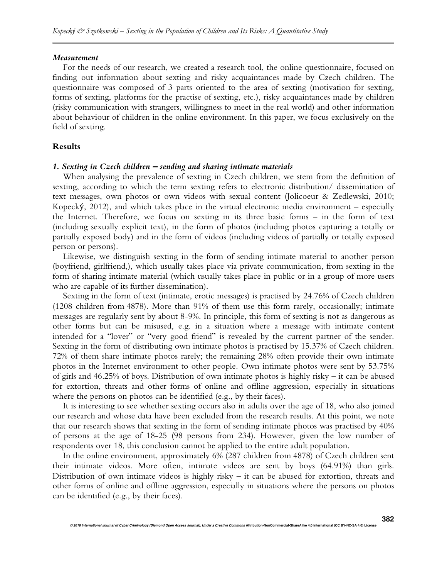#### *Measurement*

For the needs of our research, we created a research tool, the online questionnaire, focused on finding out information about sexting and risky acquaintances made by Czech children. The questionnaire was composed of 3 parts oriented to the area of sexting (motivation for sexting, forms of sexting, platforms for the practise of sexting, etc.), risky acquaintances made by children (risky communication with strangers, willingness to meet in the real world) and other information about behaviour of children in the online environment. In this paper, we focus exclusively on the field of sexting.

#### **Results**

#### *1. Sexting in Czech children* **–** *sending and sharing intimate materials*

When analysing the prevalence of sexting in Czech children, we stem from the definition of sexting, according to which the term sexting refers to electronic distribution/ dissemination of text messages, own photos or own videos with sexual content (Jolicoeur & Zedlewski, 2010; Kopecký, 2012), and which takes place in the virtual electronic media environment – especially the Internet. Therefore, we focus on sexting in its three basic forms – in the form of text (including sexually explicit text), in the form of photos (including photos capturing a totally or partially exposed body) and in the form of videos (including videos of partially or totally exposed person or persons).

Likewise, we distinguish sexting in the form of sending intimate material to another person (boyfriend, girlfriend,), which usually takes place via private communication, from sexting in the form of sharing intimate material (which usually takes place in public or in a group of more users who are capable of its further dissemination).

Sexting in the form of text (intimate, erotic messages) is practised by 24.76% of Czech children (1208 children from 4878). More than 91% of them use this form rarely, occasionally; intimate messages are regularly sent by about 8-9%. In principle, this form of sexting is not as dangerous as other forms but can be misused, e.g. in a situation where a message with intimate content intended for a "lover" or "very good friend" is revealed by the current partner of the sender. Sexting in the form of distributing own intimate photos is practised by 15.37% of Czech children. 72% of them share intimate photos rarely; the remaining 28% often provide their own intimate photos in the Internet environment to other people. Own intimate photos were sent by 53.75% of girls and 46.25% of boys. Distribution of own intimate photos is highly risky – it can be abused for extortion, threats and other forms of online and offline aggression, especially in situations where the persons on photos can be identified (e.g., by their faces).

It is interesting to see whether sexting occurs also in adults over the age of 18, who also joined our research and whose data have been excluded from the research results. At this point, we note that our research shows that sexting in the form of sending intimate photos was practised by 40% of persons at the age of 18-25 (98 persons from 234). However, given the low number of respondents over 18, this conclusion cannot be applied to the entire adult population.

In the online environment, approximately 6% (287 children from 4878) of Czech children sent their intimate videos. More often, intimate videos are sent by boys (64.91%) than girls. Distribution of own intimate videos is highly risky – it can be abused for extortion, threats and other forms of online and offline aggression, especially in situations where the persons on photos can be identified (e.g., by their faces).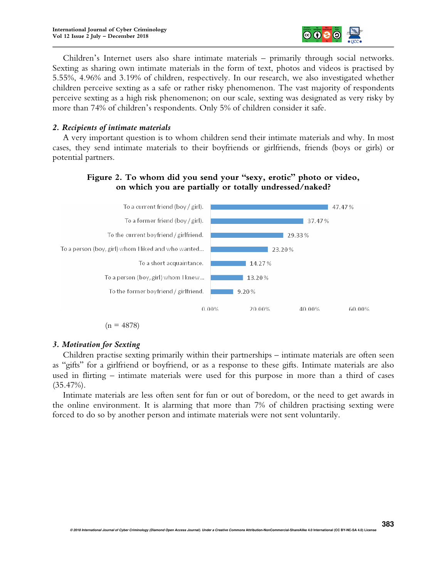

Children's Internet users also share intimate materials – primarily through social networks. Sexting as sharing own intimate materials in the form of text, photos and videos is practised by 5.55%, 4.96% and 3.19% of children, respectively. In our research, we also investigated whether children perceive sexting as a safe or rather risky phenomenon. The vast majority of respondents perceive sexting as a high risk phenomenon; on our scale, sexting was designated as very risky by more than 74% of children's respondents. Only 5% of children consider it safe.

## *2. Recipients of intimate materials*

A very important question is to whom children send their intimate materials and why. In most cases, they send intimate materials to their boyfriends or girlfriends, friends (boys or girls) or potential partners.

## **Figure 2. To whom did you send your "sexy, erotic" photo or video, on which you are partially or totally undressed/naked?**



 $(n = 4878)$ 

## *3. Motivation for Sexting*

Children practise sexting primarily within their partnerships – intimate materials are often seen as "gifts" for a girlfriend or boyfriend, or as a response to these gifts. Intimate materials are also used in flirting – intimate materials were used for this purpose in more than a third of cases (35.47%).

Intimate materials are less often sent for fun or out of boredom, or the need to get awards in the online environment. It is alarming that more than 7% of children practising sexting were forced to do so by another person and intimate materials were not sent voluntarily.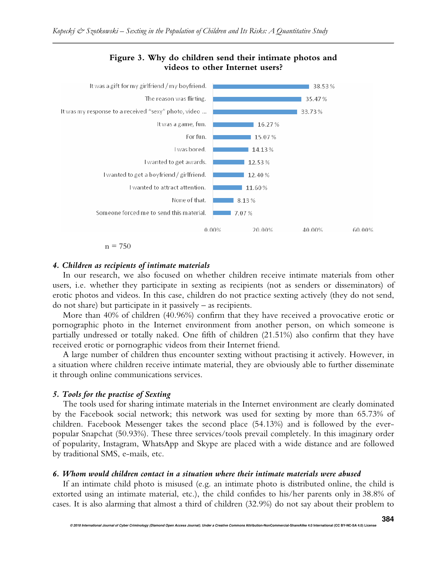

# **Figure 3. Why do children send their intimate photos and videos to other Internet users?**

$$
n\equiv 750
$$

## *4. Children as recipients of intimate materials*

In our research, we also focused on whether children receive intimate materials from other users, i.e. whether they participate in sexting as recipients (not as senders or disseminators) of erotic photos and videos. In this case, children do not practice sexting actively (they do not send, do not share) but participate in it passively – as recipients.

More than 40% of children (40.96%) confirm that they have received a provocative erotic or pornographic photo in the Internet environment from another person, on which someone is partially undressed or totally naked. One fifth of children (21.51%) also confirm that they have received erotic or pornographic videos from their Internet friend.

A large number of children thus encounter sexting without practising it actively. However, in a situation where children receive intimate material, they are obviously able to further disseminate it through online communications services.

## *5. Tools for the practise of Sexting*

The tools used for sharing intimate materials in the Internet environment are clearly dominated by the Facebook social network; this network was used for sexting by more than 65.73% of children. Facebook Messenger takes the second place (54.13%) and is followed by the everpopular Snapchat (50.93%). These three services/tools prevail completely. In this imaginary order of popularity, Instagram, WhatsApp and Skype are placed with a wide distance and are followed by traditional SMS, e-mails, etc.

## *6. Whom would children contact in a situation where their intimate materials were abused*

If an intimate child photo is misused (e.g. an intimate photo is distributed online, the child is extorted using an intimate material, etc.), the child confides to his/her parents only in 38.8% of cases. It is also alarming that almost a third of children (32.9%) do not say about their problem to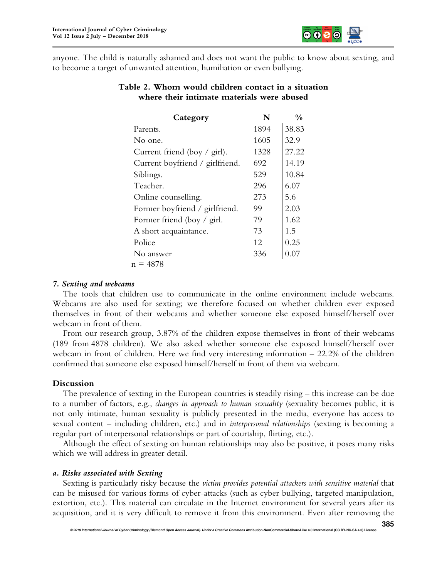

anyone. The child is naturally ashamed and does not want the public to know about sexting, and to become a target of unwanted attention, humiliation or even bullying.

| Category                                 | N    | $\frac{0}{0}$ |
|------------------------------------------|------|---------------|
| Parents.                                 | 1894 | 38.83         |
| No one.                                  | 1605 | 32.9          |
| Current friend (boy $\frac{1}{2}$ girl). | 1328 | 27.22         |
| Current boyfriend / girlfriend.          | 692  | 14.19         |
| Siblings.                                | 529  | 10.84         |
| Teacher.                                 | 296  | 6.07          |
| Online counselling.                      | 273  | 5.6           |
| Former boyfriend / girlfriend.           | 99   | 2.03          |
| Former friend (boy / girl.               | 79   | 1.62          |
| A short acquaintance.                    | 73   | 1.5           |
| Police                                   | 12   | 0.25          |
| No answer                                | 336  | $0.07\,$      |
| n = 4878                                 |      |               |

## **Table 2. Whom would children contact in a situation where their intimate materials were abused**

## *7. Sexting and webcams*

The tools that children use to communicate in the online environment include webcams. Webcams are also used for sexting; we therefore focused on whether children ever exposed themselves in front of their webcams and whether someone else exposed himself/herself over webcam in front of them.

From our research group, 3.87% of the children expose themselves in front of their webcams (189 from 4878 children). We also asked whether someone else exposed himself/herself over webcam in front of children. Here we find very interesting information – 22.2% of the children confirmed that someone else exposed himself/herself in front of them via webcam.

## **Discussion**

The prevalence of sexting in the European countries is steadily rising – this increase can be due to a number of factors, e.g., *changes in approach to human sexuality* (sexuality becomes public, it is not only intimate, human sexuality is publicly presented in the media, everyone has access to sexual content – including children, etc.) and in *interpersonal relationships* (sexting is becoming a regular part of interpersonal relationships or part of courtship, flirting, etc.).

Although the effect of sexting on human relationships may also be positive, it poses many risks which we will address in greater detail.

#### *a. Risks associated with Sexting*

Sexting is particularly risky because the *victim provides potential attackers with sensitive material* that can be misused for various forms of cyber-attacks (such as cyber bullying, targeted manipulation, extortion, etc.). This material can circulate in the Internet environment for several years after its acquisition, and it is very difficult to remove it from this environment. Even after removing the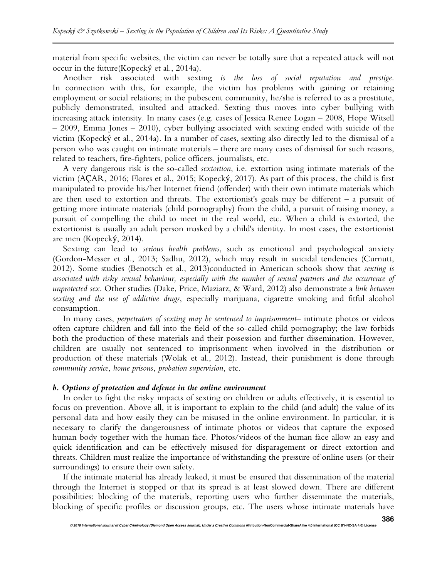material from specific websites, the victim can never be totally sure that a repeated attack will not occur in the future(Kopecký et al., 2014a).

Another risk associated with sexting *is the loss of social reputation and prestige*. In connection with this, for example, the victim has problems with gaining or retaining employment or social relations; in the pubescent community, he/she is referred to as a prostitute, publicly demonstrated, insulted and attacked. Sexting thus moves into cyber bullying with increasing attack intensity. In many cases (e.g. cases of Jessica Renee Logan – 2008, Hope Witsell – 2009, Emma Jones – 2010), cyber bullying associated with sexting ended with suicide of the victim (Kopecký et al., 2014a). In a number of cases, sexting also directly led to the dismissal of a person who was caught on intimate materials – there are many cases of dismissal for such reasons, related to teachers, fire-fighters, police officers, journalists, etc.

A very dangerous risk is the so-called *sextortion*, i.e. extortion using intimate materials of the victim (AÇAR, 2016; Flores et al., 2015; Kopecký, 2017). As part of this process, the child is first manipulated to provide his/her Internet friend (offender) with their own intimate materials which are then used to extortion and threats. The extortionist's goals may be different – a pursuit of getting more intimate materials (child pornography) from the child, a pursuit of raising money, a pursuit of compelling the child to meet in the real world, etc. When a child is extorted, the extortionist is usually an adult person masked by a child's identity. In most cases, the extortionist are men (Kopecký, 2014).

Sexting can lead to *serious health problems*, such as emotional and psychological anxiety (Gordon-Messer et al., 2013; Sadhu, 2012), which may result in suicidal tendencies (Curnutt, 2012). Some studies (Benotsch et al., 2013)conducted in American schools show that *sexting is associated with risky sexual behaviour, especially with the number of sexual partners and the occurrence of unprotected sex*. Other studies (Dake, Price, Maziarz, & Ward, 2012) also demonstrate a *link between sexting and the use of addictive drugs*, especially marijuana, cigarette smoking and fitful alcohol consumption*.*

In many cases, *perpetrators of sexting may be sentenced to imprisonment*– intimate photos or videos often capture children and fall into the field of the so-called child pornography; the law forbids both the production of these materials and their possession and further dissemination. However, children are usually not sentenced to imprisonment when involved in the distribution or production of these materials (Wolak et al., 2012). Instead, their punishment is done through *community service, home prisons, probation supervision,* etc.

#### *b. Options of protection and defence in the online environment*

In order to fight the risky impacts of sexting on children or adults effectively, it is essential to focus on prevention. Above all, it is important to explain to the child (and adult) the value of its personal data and how easily they can be misused in the online environment. In particular, it is necessary to clarify the dangerousness of intimate photos or videos that capture the exposed human body together with the human face. Photos/videos of the human face allow an easy and quick identification and can be effectively misused for disparagement or direct extortion and threats. Children must realize the importance of withstanding the pressure of online users (or their surroundings) to ensure their own safety.

If the intimate material has already leaked, it must be ensured that dissemination of the material through the Internet is stopped or that its spread is at least slowed down. There are different possibilities: blocking of the materials, reporting users who further disseminate the materials, blocking of specific profiles or discussion groups, etc. The users whose intimate materials have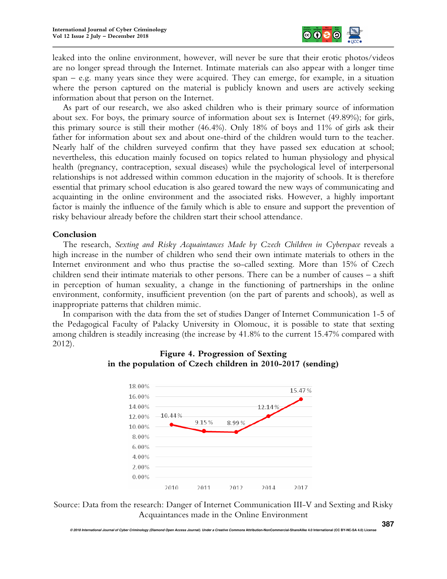

leaked into the online environment, however, will never be sure that their erotic photos/videos are no longer spread through the Internet. Intimate materials can also appear with a longer time span – e.g. many years since they were acquired. They can emerge, for example, in a situation where the person captured on the material is publicly known and users are actively seeking information about that person on the Internet.

As part of our research, we also asked children who is their primary source of information about sex. For boys, the primary source of information about sex is Internet (49.89%); for girls, this primary source is still their mother (46.4%). Only 18% of boys and 11% of girls ask their father for information about sex and about one-third of the children would turn to the teacher. Nearly half of the children surveyed confirm that they have passed sex education at school; nevertheless, this education mainly focused on topics related to human physiology and physical health (pregnancy, contraception, sexual diseases) while the psychological level of interpersonal relationships is not addressed within common education in the majority of schools. It is therefore essential that primary school education is also geared toward the new ways of communicating and acquainting in the online environment and the associated risks. However, a highly important factor is mainly the influence of the family which is able to ensure and support the prevention of risky behaviour already before the children start their school attendance.

## **Conclusion**

The research, *Sexting and Risky Acquaintances Made by Czech Children in Cyberspace* reveals a high increase in the number of children who send their own intimate materials to others in the Internet environment and who thus practise the so-called sexting. More than 15% of Czech children send their intimate materials to other persons. There can be a number of causes – a shift in perception of human sexuality, a change in the functioning of partnerships in the online environment, conformity, insufficient prevention (on the part of parents and schools), as well as inappropriate patterns that children mimic.

In comparison with the data from the set of studies Danger of Internet Communication 1-5 of the Pedagogical Faculty of Palacky University in Olomouc, it is possible to state that sexting among children is steadily increasing (the increase by 41.8% to the current 15.47% compared with 2012).



# **Figure 4. Progression of Sexting in the population of Czech children in 2010-2017 (sending)**

Source: Data from the research: Danger of Internet Communication III-V and Sexting and Risky Acquaintances made in the Online Environment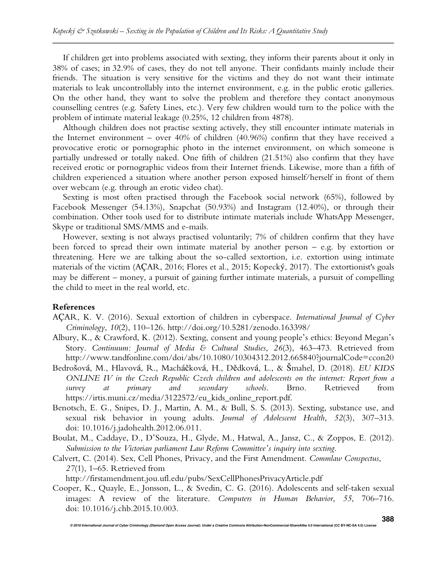If children get into problems associated with sexting, they inform their parents about it only in 38% of cases; in 32.9% of cases, they do not tell anyone. Their confidants mainly include their friends. The situation is very sensitive for the victims and they do not want their intimate materials to leak uncontrollably into the internet environment, e.g. in the public erotic galleries. On the other hand, they want to solve the problem and therefore they contact anonymous counselling centres (e.g. Safety Lines, etc.). Very few children would turn to the police with the problem of intimate material leakage (0.25%, 12 children from 4878).

Although children does not practise sexting actively, they still encounter intimate materials in the Internet environment – over 40% of children (40.96%) confirm that they have received a provocative erotic or pornographic photo in the internet environment, on which someone is partially undressed or totally naked. One fifth of children (21.51%) also confirm that they have received erotic or pornographic videos from their Internet friends. Likewise, more than a fifth of children experienced a situation where another person exposed himself/herself in front of them over webcam (e.g. through an erotic video chat).

Sexting is most often practised through the Facebook social network (65%), followed by Facebook Messenger (54.13%), Snapchat (50.93%) and Instagram (12.40%), or through their combination. Other tools used for to distribute intimate materials include WhatsApp Messenger, Skype or traditional SMS/MMS and e-mails.

However, sexting is not always practised voluntarily; 7% of children confirm that they have been forced to spread their own intimate material by another person – e.g. by extortion or threatening. Here we are talking about the so-called sextortion, i.e. extortion using intimate materials of the victim (AÇAR, 2016; Flores et al., 2015; Kopecký, 2017). The extortionist's goals may be different – money, a pursuit of gaining further intimate materials, a pursuit of compelling the child to meet in the real world, etc.

# **References**

- AÇAR, K. V. (2016). Sexual extortion of children in cyberspace. *International Journal of Cyber Criminology*, *10*(2), 110–126. http://doi.org/10.5281/zenodo.163398/
- Albury, K., & Crawford, K. (2012). Sexting, consent and young people's ethics: Beyond Megan's Story. *Continuum: Journal of Media & Cultural Studies*, *26*(3), 463–473. Retrieved from http://www.tandfonline.com/doi/abs/10.1080/10304312.2012.665840?journalCode=ccon20
- Bedrošová, M., Hlavová, R., Macháčková, H., Dědková, L., & Šmahel, D. (2018). *EU KIDS ONLINE IV in the Czech Republic Czech children and adolescents on the internet: Report from a survey at primary and secondary schools*. Brno. Retrieved from https://irtis.muni.cz/media/3122572/eu\_kids\_online\_report.pdf.
- Benotsch, E. G., Snipes, D. J., Martin, A. M., & Bull, S. S. (2013). Sexting, substance use, and sexual risk behavior in young adults. *Journal of Adolescent Health*, *52*(3), 307–313. doi: 10.1016/j.jadohealth.2012.06.011.
- Boulat, M., Caddaye, D., D'Souza, H., Glyde, M., Hatwal, A., Jansz, C., & Zoppos, E. (2012). *Submission to the Victorian parliament Law Reform Committee's inquiry into sexting*.
- Calvert, C. (2014). Sex, Cell Phones, Privacy, and the First Amendment. *Commlaw Conspectus*, *27*(1), 1–65. Retrieved from

http://firstamendment.jou.ufl.edu/pubs/SexCellPhonesPrivacyArticle.pdf

Cooper, K., Quayle, E., Jonsson, L., & Svedin, C. G. (2016). Adolescents and self-taken sexual images: A review of the literature. *Computers in Human Behavior*, *55*, 706–716. doi: 10.1016/j.chb.2015.10.003.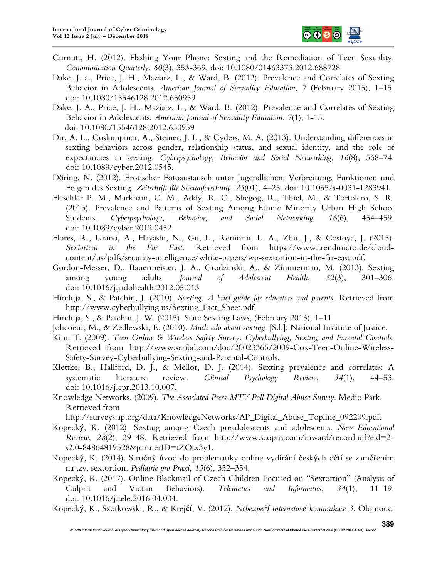

- Curnutt, H. (2012). Flashing Your Phone: Sexting and the Remediation of Teen Sexuality. *Communication Quarterly*. *60*(3), 353-369, doi: 10.1080/01463373.2012.688728
- Dake, J. a., Price, J. H., Maziarz, L., & Ward, B. (2012). Prevalence and Correlates of Sexting Behavior in Adolescents. *American Journal of Sexuality Education*, *7* (February 2015), 1–15. doi: 10.1080/15546128.2012.650959
- Dake, J. A., Price, J. H., Maziarz, L., & Ward, B. (2012). Prevalence and Correlates of Sexting Behavior in Adolescents. *American Journal of Sexuality Education*. *7*(1), 1-15. doi: 10.1080/15546128.2012.650959
- Dir, A. L., Coskunpinar, A., Steiner, J. L., & Cyders, M. A. (2013). Understanding differences in sexting behaviors across gender, relationship status, and sexual identity, and the role of expectancies in sexting. *Cyberpsychology, Behavior and Social Networking*, *16*(8), 568–74. doi: 10.1089/cyber.2012.0545.
- Döring, N. (2012). Erotischer Fotoaustausch unter Jugendlichen: Verbreitung, Funktionen und Folgen des Sexting. *Zeitschrift für Sexualforschung*, *25*(01), 4–25. doi: 10.1055/s-0031-1283941.
- Fleschler P. M., Markham, C. M., Addy, R. C., Shegog, R., Thiel, M., & Tortolero, S. R. (2013). Prevalence and Patterns of Sexting Among Ethnic Minority Urban High School Students. *Cyberpsychology, Behavior, and Social Networking*, *16*(6), 454–459. doi: 10.1089/cyber.2012.0452
- Flores, R., Urano, A., Hayashi, N., Gu, L., Remorin, L. A., Zhu, J., & Costoya, J. (2015). *Sextortion in the Far East*. Retrieved from https://www.trendmicro.de/cloudcontent/us/pdfs/security-intelligence/white-papers/wp-sextortion-in-the-far-east.pdf.
- Gordon-Messer, D., Bauermeister, J. A., Grodzinski, A., & Zimmerman, M. (2013). Sexting among young adults. *Journal of Adolescent Health*, *52*(3), 301–306. doi: 10.1016/j.jadohealth.2012.05.013
- Hinduja, S., & Patchin, J. (2010). *Sexting: A brief guide for educators and parents*. Retrieved from http://www.cyberbullying.us/Sexting\_Fact\_Sheet.pdf.
- Hinduja, S., & Patchin, J. W. (2015). State Sexting Laws, (February 2013), 1–11.
- Jolicoeur, M., & Zedlewski, E. (2010). *Much ado about sexting*. [S.l.]: National Institute of Justice.
- Kim, T. (2009). *Teen Online & Wireless Safety Survey: Cyberbullying, Sexting and Parental Controls*. Retrieved from http://www.scribd.com/doc/20023365/2009-Cox-Teen-Online-Wireless-Safety-Survey-Cyberbullying-Sexting-and-Parental-Controls.
- Klettke, B., Hallford, D. J., & Mellor, D. J. (2014). Sexting prevalence and correlates: A systematic literature review. *Clinical Psychology Review*, *34*(1), 44–53. doi: 10.1016/j.cpr.2013.10.007.
- Knowledge Networks. (2009). *The Associated Press-MTV Poll Digital Abuse Survey*. Medio Park. Retrieved from

http://surveys.ap.org/data/KnowledgeNetworks/AP\_Digital\_Abuse\_Topline\_092209.pdf.

- Kopecký, K. (2012). Sexting among Czech preadolescents and adolescents. *New Educational Review*, *28*(2), 39–48. Retrieved from http://www.scopus.com/inward/record.url?eid=2 s2.0-84864819528&partnerID=tZOtx3y1.
- Kopecký, K. (2014). Stručný úvod do problematiky online vydírání českých dětí se zaměřením na tzv. sextortion. *Pediatrie pro Praxi*, *15*(6), 352–354.
- Kopecký, K. (2017). Online Blackmail of Czech Children Focused on "Sextortion" (Analysis of Culprit and Victim Behaviors). *Telematics and Informatics*, *34*(1), 11–19. doi: 10.1016/j.tele.2016.04.004.
- Kopecký, K., Szotkowski, R., & Krejčí, V. (2012). *Nebezpečí internetové komunikace 3*. Olomouc: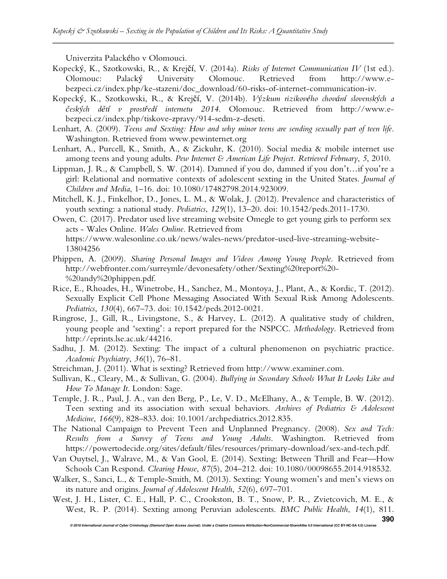Univerzita Palackého v Olomouci.

- Kopecký, K., Szotkowski, R., & Krejčí, V. (2014a). *Risks of Internet Communication IV* (1st ed.). Olomouc: Palacký University Olomouc. Retrieved from http://www.ebezpeci.cz/index.php/ke-stazeni/doc\_download/60-risks-of-internet-communication-iv.
- Kopecký, K., Szotkowski, R., & Krejčí, V. (2014b). *Výzkum rizikového chování slovenských a českých dětí v prostředí internetu 2014*. Olomouc. Retrieved from http://www.ebezpeci.cz/index.php/tiskove-zpravy/914-sedm-z-deseti.
- Lenhart, A. (2009). *Teens and Sexting: How and why minor teens are sending sexually part of teen life*. Washington. Retrieved from www.pewinternet.org
- Lenhart, A., Purcell, K., Smith, A., & Zickuhr, K. (2010). Social media & mobile internet use among teens and young adults. *Pew Internet & American Life Project. Retrieved February*, *5*, 2010.
- Lippman, J. R., & Campbell, S. W. (2014). Damned if you do, damned if you don't…if you're a girl: Relational and normative contexts of adolescent sexting in the United States. *Journal of Children and Media*, 1–16. doi: 10.1080/17482798.2014.923009.
- Mitchell, K. J., Finkelhor, D., Jones, L. M., & Wolak, J. (2012). Prevalence and characteristics of youth sexting: a national study. *Pediatrics*, *129*(1), 13–20. doi: 10.1542/peds.2011-1730.
- Owen, C. (2017). Predator used live streaming website Omegle to get young girls to perform sex acts - Wales Online. *Wales Online*. Retrieved from https://www.walesonline.co.uk/news/wales-news/predator-used-live-streaming-website-13804256
- Phippen, A. (2009). *Sharing Personal Images and Videos Among Young People*. Retrieved from http://webfronter.com/surreymle/devonesafety/other/Sexting%20report%20- %20andy%20phippen.pdf.
- Rice, E., Rhoades, H., Winetrobe, H., Sanchez, M., Montoya, J., Plant, A., & Kordic, T. (2012). Sexually Explicit Cell Phone Messaging Associated With Sexual Risk Among Adolescents. *Pediatrics*, *130*(4), 667–73. doi: 10.1542/peds.2012-0021.
- Ringrose, J., Gill, R., Livingstone, S., & Harvey, L. (2012). A qualitative study of children, young people and 'sexting': a report prepared for the NSPCC. *Methodology*. Retrieved from http://eprints.lse.ac.uk/44216.
- Sadhu, J. M. (2012). Sexting: The impact of a cultural phenomenon on psychiatric practice. *Academic Psychiatry*, *36*(1), 76–81.
- Streichman, J. (2011). What is sexting? Retrieved from http://www.examiner.com.
- Sullivan, K., Cleary, M., & Sullivan, G. (2004). *Bullying in Secondary Schools What It Looks Like and How To Manage It*. London: Sage.
- Temple, J. R., Paul, J. A., van den Berg, P., Le, V. D., McElhany, A., & Temple, B. W. (2012). Teen sexting and its association with sexual behaviors. *Archives of Pediatrics & Adolescent Medicine*, *166*(9), 828–833. doi: 10.1001/archpediatrics.2012.835.
- The National Campaign to Prevent Teen and Unplanned Pregnancy. (2008). *Sex and Tech: Results from a Survey of Teens and Young Adults*. Washington. Retrieved from https://powertodecide.org/sites/default/files/resources/primary-download/sex-and-tech.pdf.
- Van Ouytsel, J., Walrave, M., & Van Gool, E. (2014). Sexting: Between Thrill and Fear—How Schools Can Respond. *Clearing House*, *87*(5), 204–212. doi: 10.1080/00098655.2014.918532.
- Walker, S., Sanci, L., & Temple-Smith, M. (2013). Sexting: Young women's and men's views on its nature and origins. *Journal of Adolescent Health*, *52*(6), 697–701.
- West, J. H., Lister, C. E., Hall, P. C., Crookston, B. T., Snow, P. R., Zvietcovich, M. E., & West, R. P. (2014). Sexting among Peruvian adolescents. *BMC Public Health*, *14*(1), 811.

**© 2018 International Journal of Cyber Criminology (Diamond Open Access Journal). Under a Creative Commons Attribution-NonCommercial-ShareAlike 4.0 International (CC BY-NC-SA 4.0) License**